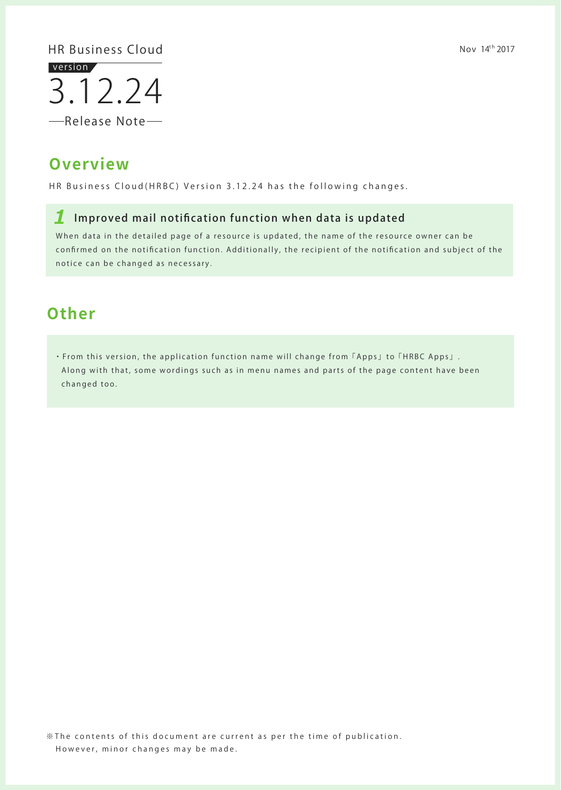※The contents of this document are current as per the time of p ublication. However, minor changes may be made.

3.12.24 version

-Release Note-

## **Overview**

HR Business Cloud(HRBC) Version 3.12.24 has the following changes.

Nov  $14^{th}$  2017

### HR Business Cloud

### *1* Improved mail notification function when data is updated

• From this version, the application function name will change from  $\lceil \text{Apps} \rfloor$  to  $\lceil \text{HRBC Apps} \rfloor$ . Along with that, some wordings such as in menu names and parts of the page content have been changed too.

When data in the detailed page of a resource is updated, the name of the resource owner can be confirmed on the notification function. Additionally, the recipient of the notification and subject of the notice can be changed as necessary.

## **Other**